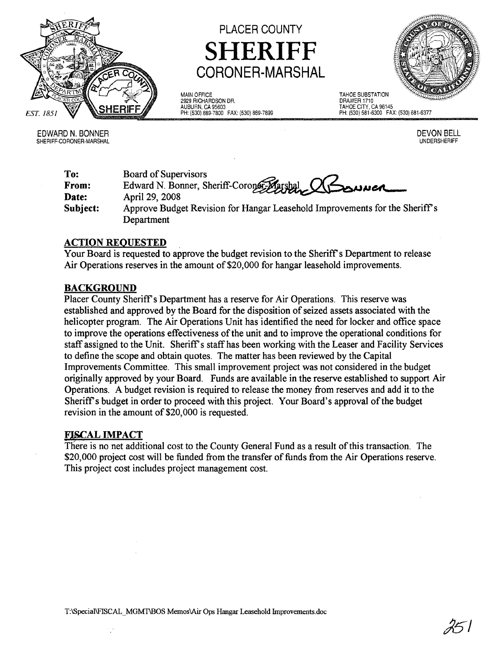

EDWARD N. BONNER SHERIFF·CORONER·MARSHAL

PLACER COUNTY **SHERIFF CORONER-MARSHAL**

MAIN OFFICE 2929 RICHARDSON DR. AUBURN. CA 95603 PH: (530) 889·7800 FAX: (530) 889·7899 TAHOE SUBSTATION DRAWER 1710 TAHOE CITY. CA 96145 PH: (530) 581·6300 FAX: (530) 681·6377

> DEVON BELL UNDERSHERIFF

**To: From: Date: Subject:** Board of Supervisors Edward N. Bonner, Sheriff-Coroner Marshal April 29, 2008 Approve Budget Revision for Hangar Leasehold Improvements for the Sheriffs Department

## **ACTION REQUESTED** .

Your Board is requested to approve the budget revision to the Sheriff's Department to release Air Operations reserves in the amount of \$20,000 for hangar leasehold improvements.

## **BACKGROUND**

Placer County Sheriff's Department has a reserve for Air Operations. This reserve was established and approved by the Board for the disposition of seized assets associated with the helicopter program. The Air Operations Unit has identified the need for locker and office space to improve the operations effectiveness of the unit and to improve the operational conditions for staff assigned to the Unit. Sheriff's staff has been working with the Leaser and Facility Services to define the scope and obtain quotes. The matter has been reviewed by the Capital Improvements Committee. This small improvement project was not considered in the budget originally approved by your Board. Funds are available in the reserve established to support Air Operations. A budget revision is required to release the money from reserves and add it to the Sheriff's budget in order to proceed with this project. Your Board's approval of the budget revision in the amount of \$20,000 is requested.

## **FISCAL IMPACT**

There is no net additional cost to the County General Fund as a result of this transaction. The \$20,000 project cost will be funded from the transfer of funds from the Air Operations reserve. This project cost includes project management cost.